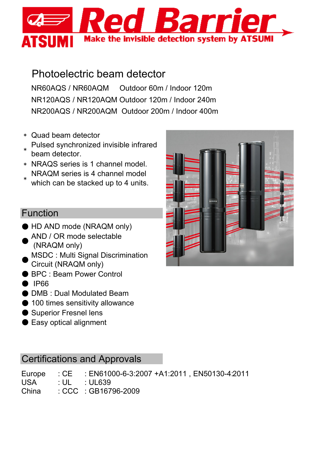

# Photoelectric beam detector

NR60AQS / NR60AQM Outdoor 60m / Indoor 120m NR120AQS / NR120AQM Outdoor 120m / Indoor 240m NR200AQS / NR200AQM Outdoor 200m / Indoor 400m

- \* Quad beam detector
- \* Pulsed synchronized invisible infrared beam detector.
- \* NRAQS series is 1 channel model. NRAQM series is 4 channel model
- \* which can be stacked up to 4 units.

## Function

- HD AND mode (NRAQM only)
- $\bullet$ AND / OR mode selectable (NRAQM only)
- $\bullet$ MSDC : Multi Signal Discrimination Circuit (NRAQM only)
- BPC : Beam Power Control
- IP66
- DMB : Dual Modulated Beam
- 100 times sensitivity allowance
- Superior Fresnel lens
- Easy optical alignment

# Certifications and Approvals

|  |  | Europe : CE : EN61000-6-3:2007 +A1:2011, EN50130-4:2011 |  |  |
|--|--|---------------------------------------------------------|--|--|
|--|--|---------------------------------------------------------|--|--|

- $USA$  : UL : UL639
- China : CCC : GB16796-2009